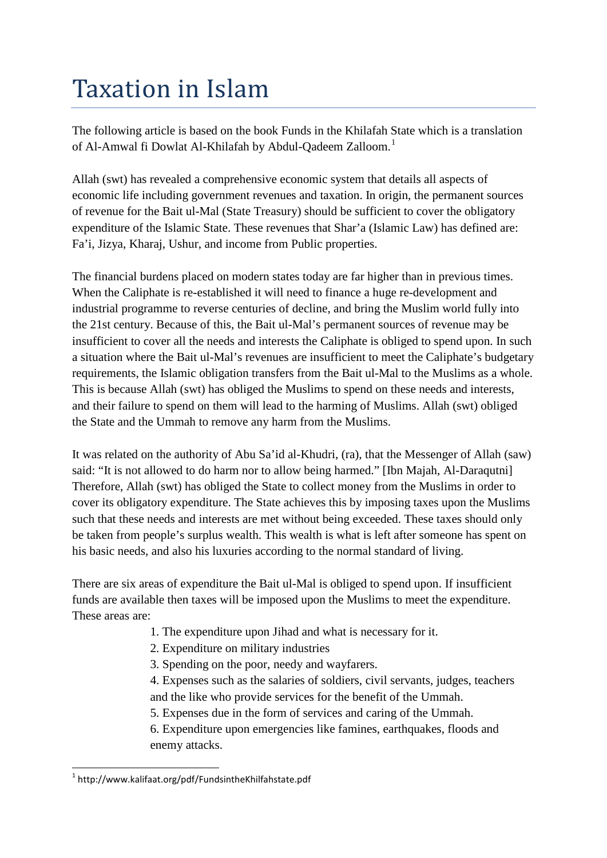# Taxation in Islam

The following article is based on the book Funds in the Khilafah State which is a translation of Al-Amwal fi Dowlat Al-Khilafah by Abdul-Qadeem Zalloom.<sup>[1](#page-0-0)</sup>

Allah (swt) has revealed a comprehensive economic system that details all aspects of economic life including government revenues and taxation. In origin, the permanent sources of revenue for the Bait ul-Mal (State Treasury) should be sufficient to cover the obligatory expenditure of the Islamic State. These revenues that Shar'a (Islamic Law) has defined are: Fa'i, Jizya, Kharaj, Ushur, and income from Public properties.

The financial burdens placed on modern states today are far higher than in previous times. When the Caliphate is re-established it will need to finance a huge re-development and industrial programme to reverse centuries of decline, and bring the Muslim world fully into the 21st century. Because of this, the Bait ul-Mal's permanent sources of revenue may be insufficient to cover all the needs and interests the Caliphate is obliged to spend upon. In such a situation where the Bait ul-Mal's revenues are insufficient to meet the Caliphate's budgetary requirements, the Islamic obligation transfers from the Bait ul-Mal to the Muslims as a whole. This is because Allah (swt) has obliged the Muslims to spend on these needs and interests, and their failure to spend on them will lead to the harming of Muslims. Allah (swt) obliged the State and the Ummah to remove any harm from the Muslims.

It was related on the authority of Abu Sa'id al-Khudri, (ra), that the Messenger of Allah (saw) said: "It is not allowed to do harm nor to allow being harmed." [Ibn Majah, Al-Daraqutni] Therefore, Allah (swt) has obliged the State to collect money from the Muslims in order to cover its obligatory expenditure. The State achieves this by imposing taxes upon the Muslims such that these needs and interests are met without being exceeded. These taxes should only be taken from people's surplus wealth. This wealth is what is left after someone has spent on his basic needs, and also his luxuries according to the normal standard of living.

There are six areas of expenditure the Bait ul-Mal is obliged to spend upon. If insufficient funds are available then taxes will be imposed upon the Muslims to meet the expenditure. These areas are:

- 1. The expenditure upon Jihad and what is necessary for it.
- 2. Expenditure on military industries
- 3. Spending on the poor, needy and wayfarers.

4. Expenses such as the salaries of soldiers, civil servants, judges, teachers and the like who provide services for the benefit of the Ummah.

5. Expenses due in the form of services and caring of the Ummah.

6. Expenditure upon emergencies like famines, earthquakes, floods and enemy attacks.

<span id="page-0-0"></span> <sup>1</sup> http://www.kalifaat.org/pdf/FundsintheKhilfahstate.pdf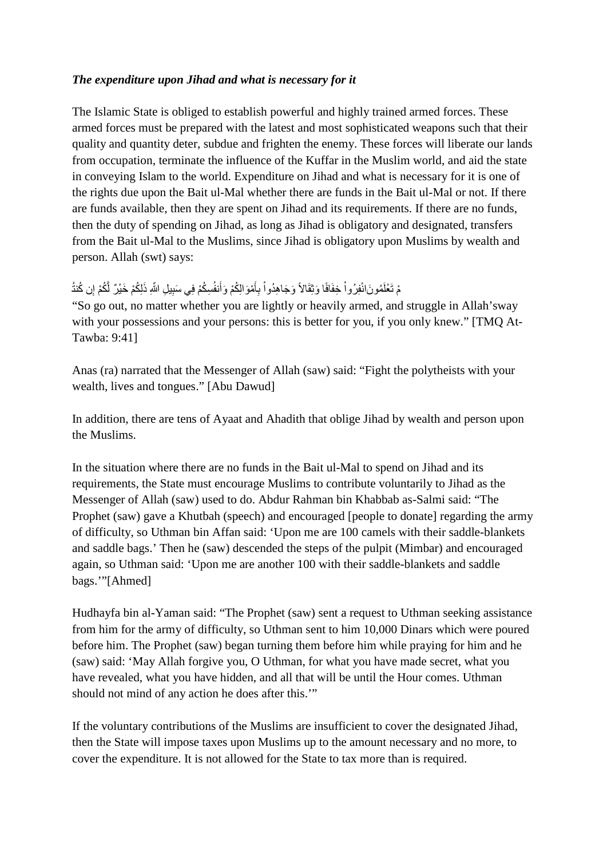#### *The expenditure upon Jihad and what is necessary for it*

The Islamic State is obliged to establish powerful and highly trained armed forces. These armed forces must be prepared with the latest and most sophisticated weapons such that their quality and quantity deter, subdue and frighten the enemy. These forces will liberate our lands from occupation, terminate the influence of the Kuffar in the Muslim world, and aid the state in conveying Islam to the world. Expenditure on Jihad and what is necessary for it is one of the rights due upon the Bait ul-Mal whether there are funds in the Bait ul-Mal or not. If there are funds available, then they are spent on Jihad and its requirements. If there are no funds, then the duty of spending on Jihad, as long as Jihad is obligatory and designated, transfers from the Bait ul-Mal to the Muslims, since Jihad is obligatory upon Muslims by wealth and person. Allah (swt) says:

#### ُ مْ تَعْلَمُونَانْفِرُواْ خِفَافًا وَثِقَالاً وَجَاهِدُواْ بِأَمْوَالِكُمْ وَأَنفُسِكُمْ فِي سَبِيلِ اللّهِ ذَلِكُمْ خَيْرٌ لَّكُمْ إِن كُنتُ ؘُ<br>֡֬ ِأ ًالى بىلەن بىلەن بىلەن بىلەن بىلەن بىلەن بىلەن بىلەن بىلەن بىلەن بىلەن بىلەن بىلەن بىلەن بىلەن بىلەن بىلەن بىلە<br>ئايدا بىلەن بىلەن بىلەن بىلەن بىلەن بىلەن بىلەن بىلەن بىلەن بىلەن بىلەن بىلەن بىلەن بىلەن بىلەن بىلەن بىلەن بى

"So go out, no matter whether you are lightly or heavily armed, and struggle in Allah'sway with your possessions and your persons: this is better for you, if you only knew." [TMQ At-Tawba: 9:41]

Anas (ra) narrated that the Messenger of Allah (saw) said: "Fight the polytheists with your wealth, lives and tongues." [Abu Dawud]

In addition, there are tens of Ayaat and Ahadith that oblige Jihad by wealth and person upon the Muslims.

In the situation where there are no funds in the Bait ul-Mal to spend on Jihad and its requirements, the State must encourage Muslims to contribute voluntarily to Jihad as the Messenger of Allah (saw) used to do. Abdur Rahman bin Khabbab as-Salmi said: "The Prophet (saw) gave a Khutbah (speech) and encouraged [people to donate] regarding the army of difficulty, so Uthman bin Affan said: 'Upon me are 100 camels with their saddle-blankets and saddle bags.' Then he (saw) descended the steps of the pulpit (Mimbar) and encouraged again, so Uthman said: 'Upon me are another 100 with their saddle-blankets and saddle bags.'"[Ahmed]

Hudhayfa bin al-Yaman said: "The Prophet (saw) sent a request to Uthman seeking assistance from him for the army of difficulty, so Uthman sent to him 10,000 Dinars which were poured before him. The Prophet (saw) began turning them before him while praying for him and he (saw) said: 'May Allah forgive you, O Uthman, for what you have made secret, what you have revealed, what you have hidden, and all that will be until the Hour comes. Uthman should not mind of any action he does after this.'"

If the voluntary contributions of the Muslims are insufficient to cover the designated Jihad, then the State will impose taxes upon Muslims up to the amount necessary and no more, to cover the expenditure. It is not allowed for the State to tax more than is required.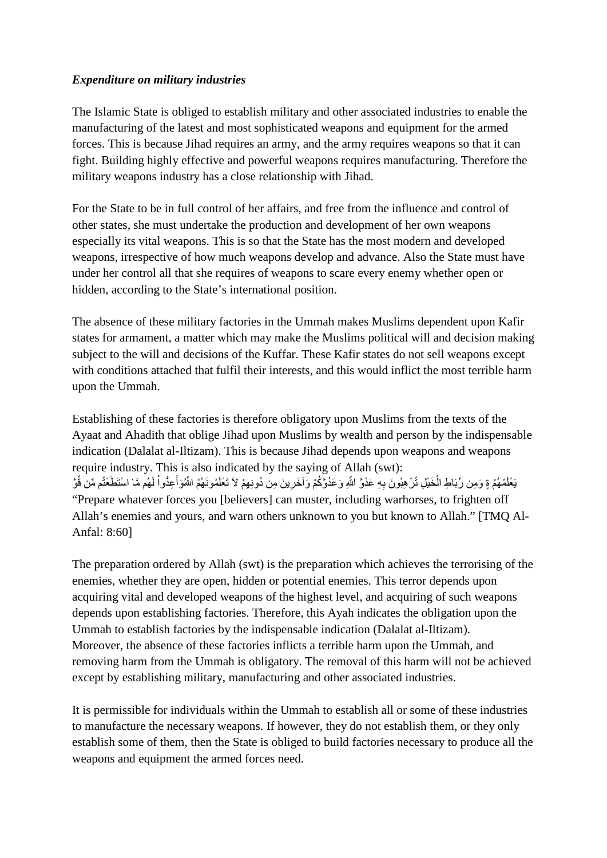#### *Expenditure on military industries*

The Islamic State is obliged to establish military and other associated industries to enable the manufacturing of the latest and most sophisticated weapons and equipment for the armed forces. This is because Jihad requires an army, and the army requires weapons so that it can fight. Building highly effective and powerful weapons requires manufacturing. Therefore the military weapons industry has a close relationship with Jihad.

For the State to be in full control of her affairs, and free from the influence and control of other states, she must undertake the production and development of her own weapons especially its vital weapons. This is so that the State has the most modern and developed weapons, irrespective of how much weapons develop and advance. Also the State must have under her control all that she requires of weapons to scare every enemy whether open or hidden, according to the State's international position.

The absence of these military factories in the Ummah makes Muslims dependent upon Kafir states for armament, a matter which may make the Muslims political will and decision making subject to the will and decisions of the Kuffar. These Kafir states do not sell weapons except with conditions attached that fulfil their interests, and this would inflict the most terrible harm upon the Ummah.

Establishing of these factories is therefore obligatory upon Muslims from the texts of the Ayaat and Ahadith that oblige Jihad upon Muslims by wealth and person by the indispensable indication (Dalalat al-Iltizam). This is because Jihad depends upon weapons and weapons require industry. This is also indicated by the saying of Allah (swt): يَعْلَمُهُمْ ةٍ وَمِن رِّبَاطِ الْخَيْلِ تُرْهِبُونَ بِهِ عَدْوَّ اللّهِ وَعَدُوَّكُمْ وَآخَرِينَ مِن دُونِهِمْ لاَ تَعْلَمُونَهُمُ اللّهُوَأُعِدُواْ لَهُم مَّا اسْتَطَعْتُم مِّن قُوَّ "Prepare whatever forces you [believers] can muster, including warhorses, to frighten off Allah's enemies and yours, and warn others unknown to you but known to Allah." [TMQ Al-Anfal: 8:60]

The preparation ordered by Allah (swt) is the preparation which achieves the terrorising of the enemies, whether they are open, hidden or potential enemies. This terror depends upon acquiring vital and developed weapons of the highest level, and acquiring of such weapons depends upon establishing factories. Therefore, this Ayah indicates the obligation upon the Ummah to establish factories by the indispensable indication (Dalalat al-Iltizam). Moreover, the absence of these factories inflicts a terrible harm upon the Ummah, and removing harm from the Ummah is obligatory. The removal of this harm will not be achieved except by establishing military, manufacturing and other associated industries.

It is permissible for individuals within the Ummah to establish all or some of these industries to manufacture the necessary weapons. If however, they do not establish them, or they only establish some of them, then the State is obliged to build factories necessary to produce all the weapons and equipment the armed forces need.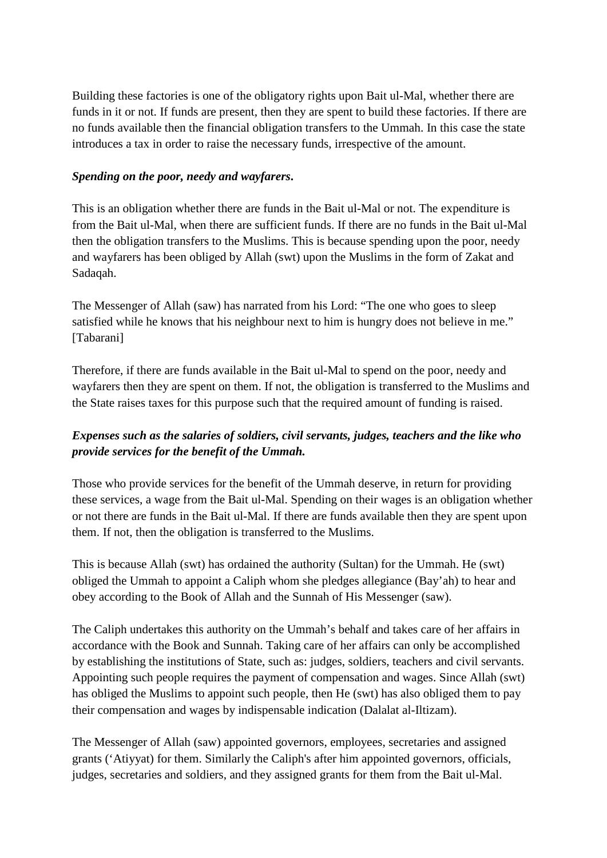Building these factories is one of the obligatory rights upon Bait ul-Mal, whether there are funds in it or not. If funds are present, then they are spent to build these factories. If there are no funds available then the financial obligation transfers to the Ummah. In this case the state introduces a tax in order to raise the necessary funds, irrespective of the amount.

#### *Spending on the poor, needy and wayfarers***.**

This is an obligation whether there are funds in the Bait ul-Mal or not. The expenditure is from the Bait ul-Mal, when there are sufficient funds. If there are no funds in the Bait ul-Mal then the obligation transfers to the Muslims. This is because spending upon the poor, needy and wayfarers has been obliged by Allah (swt) upon the Muslims in the form of Zakat and Sadaqah.

The Messenger of Allah (saw) has narrated from his Lord: "The one who goes to sleep satisfied while he knows that his neighbour next to him is hungry does not believe in me." [Tabarani]

Therefore, if there are funds available in the Bait ul-Mal to spend on the poor, needy and wayfarers then they are spent on them. If not, the obligation is transferred to the Muslims and the State raises taxes for this purpose such that the required amount of funding is raised.

# *Expenses such as the salaries of soldiers, civil servants, judges, teachers and the like who provide services for the benefit of the Ummah.*

Those who provide services for the benefit of the Ummah deserve, in return for providing these services, a wage from the Bait ul-Mal. Spending on their wages is an obligation whether or not there are funds in the Bait ul-Mal. If there are funds available then they are spent upon them. If not, then the obligation is transferred to the Muslims.

This is because Allah (swt) has ordained the authority (Sultan) for the Ummah. He (swt) obliged the Ummah to appoint a Caliph whom she pledges allegiance (Bay'ah) to hear and obey according to the Book of Allah and the Sunnah of His Messenger (saw).

The Caliph undertakes this authority on the Ummah's behalf and takes care of her affairs in accordance with the Book and Sunnah. Taking care of her affairs can only be accomplished by establishing the institutions of State, such as: judges, soldiers, teachers and civil servants. Appointing such people requires the payment of compensation and wages. Since Allah (swt) has obliged the Muslims to appoint such people, then He (swt) has also obliged them to pay their compensation and wages by indispensable indication (Dalalat al-Iltizam).

The Messenger of Allah (saw) appointed governors, employees, secretaries and assigned grants ('Atiyyat) for them. Similarly the Caliph's after him appointed governors, officials, judges, secretaries and soldiers, and they assigned grants for them from the Bait ul-Mal.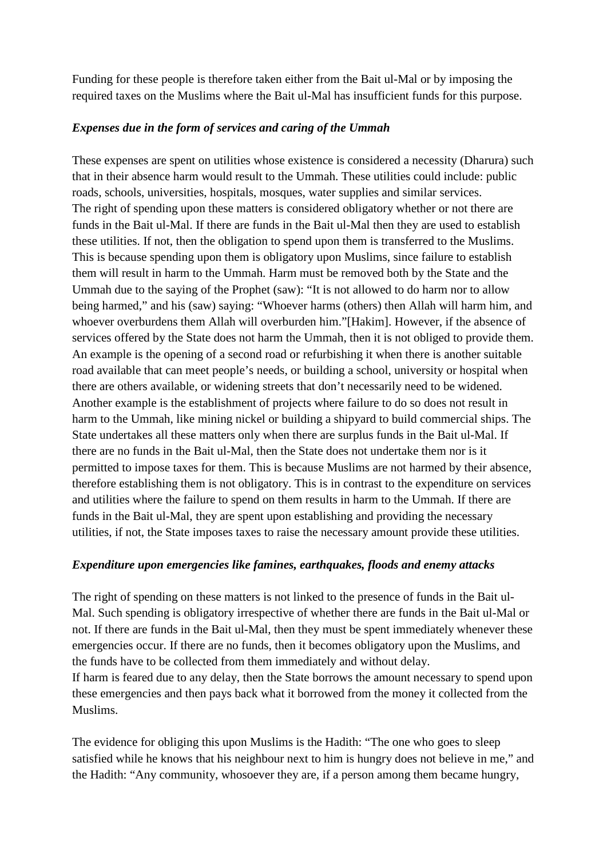Funding for these people is therefore taken either from the Bait ul-Mal or by imposing the required taxes on the Muslims where the Bait ul-Mal has insufficient funds for this purpose.

### *Expenses due in the form of services and caring of the Ummah*

These expenses are spent on utilities whose existence is considered a necessity (Dharura) such that in their absence harm would result to the Ummah. These utilities could include: public roads, schools, universities, hospitals, mosques, water supplies and similar services. The right of spending upon these matters is considered obligatory whether or not there are funds in the Bait ul-Mal. If there are funds in the Bait ul-Mal then they are used to establish these utilities. If not, then the obligation to spend upon them is transferred to the Muslims. This is because spending upon them is obligatory upon Muslims, since failure to establish them will result in harm to the Ummah. Harm must be removed both by the State and the Ummah due to the saying of the Prophet (saw): "It is not allowed to do harm nor to allow being harmed," and his (saw) saying: "Whoever harms (others) then Allah will harm him, and whoever overburdens them Allah will overburden him."[Hakim]. However, if the absence of services offered by the State does not harm the Ummah, then it is not obliged to provide them. An example is the opening of a second road or refurbishing it when there is another suitable road available that can meet people's needs, or building a school, university or hospital when there are others available, or widening streets that don't necessarily need to be widened. Another example is the establishment of projects where failure to do so does not result in harm to the Ummah, like mining nickel or building a shipyard to build commercial ships. The State undertakes all these matters only when there are surplus funds in the Bait ul-Mal. If there are no funds in the Bait ul-Mal, then the State does not undertake them nor is it permitted to impose taxes for them. This is because Muslims are not harmed by their absence, therefore establishing them is not obligatory. This is in contrast to the expenditure on services and utilities where the failure to spend on them results in harm to the Ummah. If there are funds in the Bait ul-Mal, they are spent upon establishing and providing the necessary utilities, if not, the State imposes taxes to raise the necessary amount provide these utilities.

#### *Expenditure upon emergencies like famines, earthquakes, floods and enemy attacks*

The right of spending on these matters is not linked to the presence of funds in the Bait ul-Mal. Such spending is obligatory irrespective of whether there are funds in the Bait ul-Mal or not. If there are funds in the Bait ul-Mal, then they must be spent immediately whenever these emergencies occur. If there are no funds, then it becomes obligatory upon the Muslims, and the funds have to be collected from them immediately and without delay. If harm is feared due to any delay, then the State borrows the amount necessary to spend upon these emergencies and then pays back what it borrowed from the money it collected from the Muslims.

The evidence for obliging this upon Muslims is the Hadith: "The one who goes to sleep satisfied while he knows that his neighbour next to him is hungry does not believe in me," and the Hadith: "Any community, whosoever they are, if a person among them became hungry,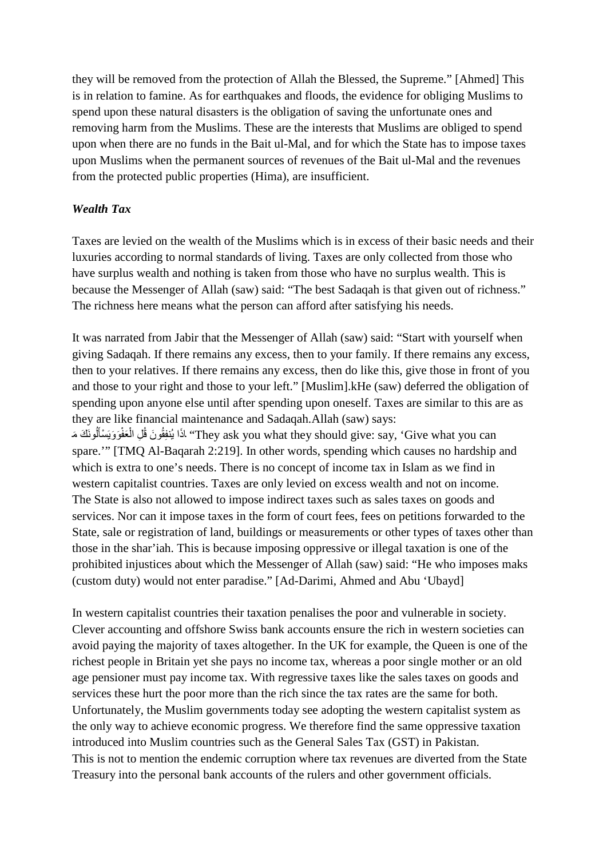they will be removed from the protection of Allah the Blessed, the Supreme." [Ahmed] This is in relation to famine. As for earthquakes and floods, the evidence for obliging Muslims to spend upon these natural disasters is the obligation of saving the unfortunate ones and removing harm from the Muslims. These are the interests that Muslims are obliged to spend upon when there are no funds in the Bait ul-Mal, and for which the State has to impose taxes upon Muslims when the permanent sources of revenues of the Bait ul-Mal and the revenues from the protected public properties (Hima), are insufficient.

#### *Wealth Tax*

Taxes are levied on the wealth of the Muslims which is in excess of their basic needs and their luxuries according to normal standards of living. Taxes are only collected from those who have surplus wealth and nothing is taken from those who have no surplus wealth. This is because the Messenger of Allah (saw) said: "The best Sadaqah is that given out of richness." The richness here means what the person can afford after satisfying his needs.

It was narrated from Jabir that the Messenger of Allah (saw) said: "Start with yourself when giving Sadaqah. If there remains any excess, then to your family. If there remains any excess, then to your relatives. If there remains any excess, then do like this, give those in front of you and those to your right and those to your left." [Muslim].kHe (saw) deferred the obligation of spending upon anyone else until after spending upon oneself. Taxes are similar to this are as they are like financial maintenance and Sadaqah.Allah (saw) says: They ask you what they should give: say, 'Give what you can' اِ يُنْفِقُونَ قُلِ الْعَفْوَوَيَسْأَلُونَكَ مَ َ ْا<br>ا اً<br>ا spare.'" [TMQ Al-Baqarah 2:219]. In other words, spending which causes no hardship and which is extra to one's needs. There is no concept of income tax in Islam as we find in western capitalist countries. Taxes are only levied on excess wealth and not on income. The State is also not allowed to impose indirect taxes such as sales taxes on goods and services. Nor can it impose taxes in the form of court fees, fees on petitions forwarded to the State, sale or registration of land, buildings or measurements or other types of taxes other than those in the shar'iah. This is because imposing oppressive or illegal taxation is one of the prohibited injustices about which the Messenger of Allah (saw) said: "He who imposes maks (custom duty) would not enter paradise." [Ad-Darimi, Ahmed and Abu 'Ubayd]

In western capitalist countries their taxation penalises the poor and vulnerable in society. Clever accounting and offshore Swiss bank accounts ensure the rich in western societies can avoid paying the majority of taxes altogether. In the UK for example, the Queen is one of the richest people in Britain yet she pays no income tax, whereas a poor single mother or an old age pensioner must pay income tax. With regressive taxes like the sales taxes on goods and services these hurt the poor more than the rich since the tax rates are the same for both. Unfortunately, the Muslim governments today see adopting the western capitalist system as the only way to achieve economic progress. We therefore find the same oppressive taxation introduced into Muslim countries such as the General Sales Tax (GST) in Pakistan. This is not to mention the endemic corruption where tax revenues are diverted from the State Treasury into the personal bank accounts of the rulers and other government officials.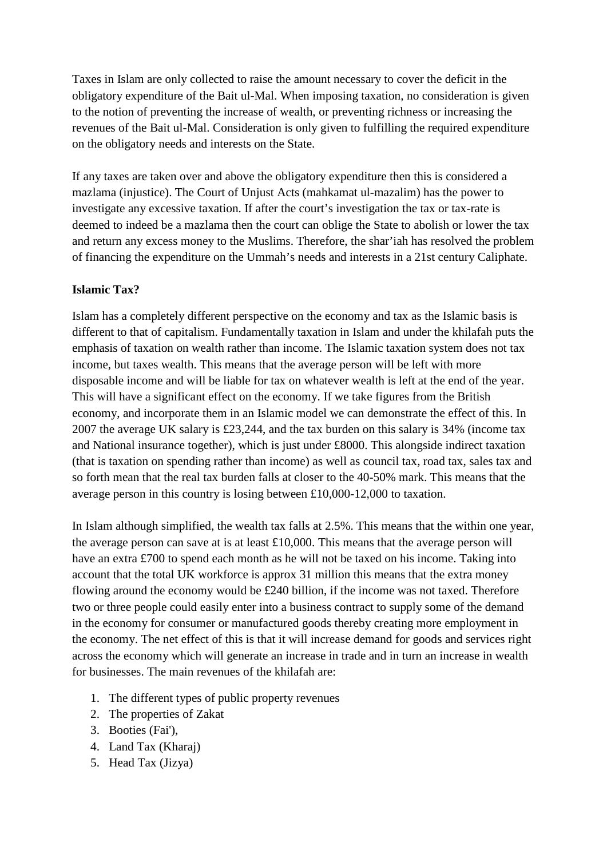Taxes in Islam are only collected to raise the amount necessary to cover the deficit in the obligatory expenditure of the Bait ul-Mal. When imposing taxation, no consideration is given to the notion of preventing the increase of wealth, or preventing richness or increasing the revenues of the Bait ul-Mal. Consideration is only given to fulfilling the required expenditure on the obligatory needs and interests on the State.

If any taxes are taken over and above the obligatory expenditure then this is considered a mazlama (injustice). The Court of Unjust Acts (mahkamat ul-mazalim) has the power to investigate any excessive taxation. If after the court's investigation the tax or tax-rate is deemed to indeed be a mazlama then the court can oblige the State to abolish or lower the tax and return any excess money to the Muslims. Therefore, the shar'iah has resolved the problem of financing the expenditure on the Ummah's needs and interests in a 21st century Caliphate.

### **Islamic Tax?**

Islam has a completely different perspective on the economy and tax as the Islamic basis is different to that of capitalism. Fundamentally taxation in Islam and under the khilafah puts the emphasis of taxation on wealth rather than income. The Islamic taxation system does not tax income, but taxes wealth. This means that the average person will be left with more disposable income and will be liable for tax on whatever wealth is left at the end of the year. This will have a significant effect on the economy. If we take figures from the British economy, and incorporate them in an Islamic model we can demonstrate the effect of this. In 2007 the average UK salary is £23,244, and the tax burden on this salary is 34% (income tax and National insurance together), which is just under £8000. This alongside indirect taxation (that is taxation on spending rather than income) as well as council tax, road tax, sales tax and so forth mean that the real tax burden falls at closer to the 40-50% mark. This means that the average person in this country is losing between £10,000-12,000 to taxation.

In Islam although simplified, the wealth tax falls at 2.5%. This means that the within one year, the average person can save at is at least £10,000. This means that the average person will have an extra £700 to spend each month as he will not be taxed on his income. Taking into account that the total UK workforce is approx 31 million this means that the extra money flowing around the economy would be £240 billion, if the income was not taxed. Therefore two or three people could easily enter into a business contract to supply some of the demand in the economy for consumer or manufactured goods thereby creating more employment in the economy. The net effect of this is that it will increase demand for goods and services right across the economy which will generate an increase in trade and in turn an increase in wealth for businesses. The main revenues of the khilafah are:

- 1. The different types of public property revenues
- 2. The properties of Zakat
- 3. Booties (Fai'),
- 4. Land Tax (Kharaj)
- 5. Head Tax (Jizya)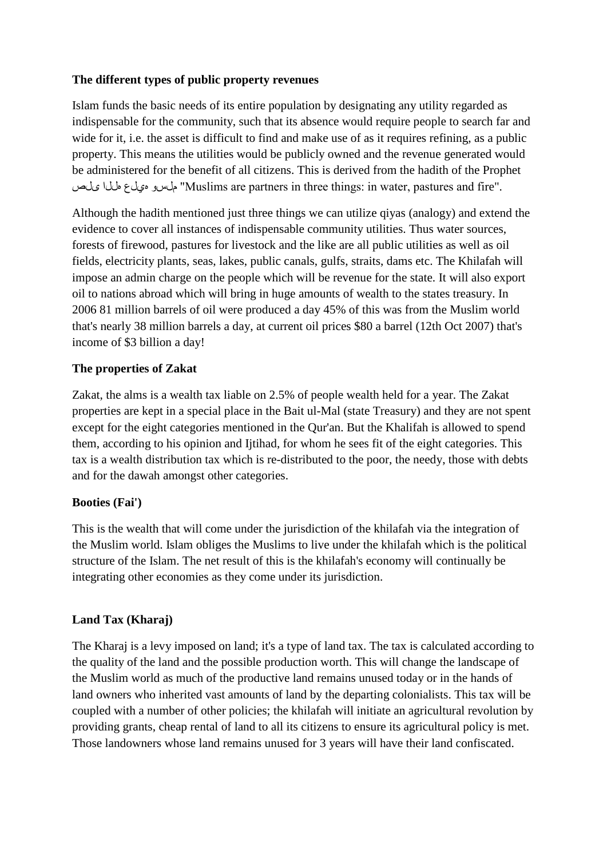### **The different types of public property revenues**

Islam funds the basic needs of its entire population by designating any utility regarded as indispensable for the community, such that its absence would require people to search far and wide for it, i.e. the asset is difficult to find and make use of as it requires refining, as a public property. This means the utilities would be publicly owned and the revenue generated would be administered for the benefit of all citizens. This is derived from the hadith of the Prophet ىلص هللا هيلع ملسو" Muslims are partners in three things: in water, pastures and fire".

Although the hadith mentioned just three things we can utilize qiyas (analogy) and extend the evidence to cover all instances of indispensable community utilities. Thus water sources, forests of firewood, pastures for livestock and the like are all public utilities as well as oil fields, electricity plants, seas, lakes, public canals, gulfs, straits, dams etc. The Khilafah will impose an admin charge on the people which will be revenue for the state. It will also export oil to nations abroad which will bring in huge amounts of wealth to the states treasury. In 2006 81 million barrels of oil were produced a day 45% of this was from the Muslim world that's nearly 38 million barrels a day, at current oil prices \$80 a barrel (12th Oct 2007) that's income of \$3 billion a day!

# **The properties of Zakat**

Zakat, the alms is a wealth tax liable on 2.5% of people wealth held for a year. The Zakat properties are kept in a special place in the Bait ul-Mal (state Treasury) and they are not spent except for the eight categories mentioned in the Qur'an. But the Khalifah is allowed to spend them, according to his opinion and Ijtihad, for whom he sees fit of the eight categories. This tax is a wealth distribution tax which is re-distributed to the poor, the needy, those with debts and for the dawah amongst other categories.

#### **Booties (Fai')**

This is the wealth that will come under the jurisdiction of the khilafah via the integration of the Muslim world. Islam obliges the Muslims to live under the khilafah which is the political structure of the Islam. The net result of this is the khilafah's economy will continually be integrating other economies as they come under its jurisdiction.

# **Land Tax (Kharaj)**

The Kharaj is a levy imposed on land; it's a type of land tax. The tax is calculated according to the quality of the land and the possible production worth. This will change the landscape of the Muslim world as much of the productive land remains unused today or in the hands of land owners who inherited vast amounts of land by the departing colonialists. This tax will be coupled with a number of other policies; the khilafah will initiate an agricultural revolution by providing grants, cheap rental of land to all its citizens to ensure its agricultural policy is met. Those landowners whose land remains unused for 3 years will have their land confiscated.